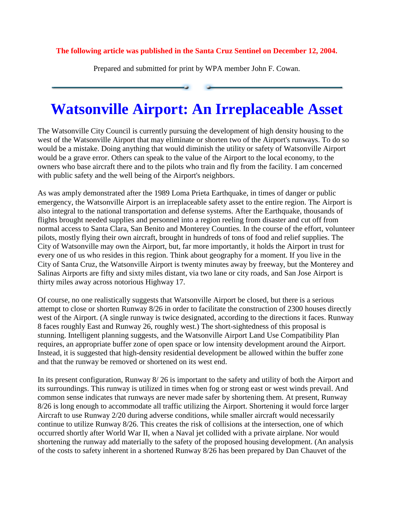## **The following article was published in the Santa Cruz Sentinel on December 12, 2004.**

Prepared and submitted for print by WPA member John F. Cowan.

## **Watsonville Airport: An Irreplaceable Asset**

The Watsonville City Council is currently pursuing the development of high density housing to the west of the Watsonville Airport that may eliminate or shorten two of the Airport's runways. To do so would be a mistake. Doing anything that would diminish the utility or safety of Watsonville Airport would be a grave error. Others can speak to the value of the Airport to the local economy, to the owners who base aircraft there and to the pilots who train and fly from the facility. I am concerned with public safety and the well being of the Airport's neighbors.

As was amply demonstrated after the 1989 Loma Prieta Earthquake, in times of danger or public emergency, the Watsonville Airport is an irreplaceable safety asset to the entire region. The Airport is also integral to the national transportation and defense systems. After the Earthquake, thousands of flights brought needed supplies and personnel into a region reeling from disaster and cut off from normal access to Santa Clara, San Benito and Monterey Counties. In the course of the effort, volunteer pilots, mostly flying their own aircraft, brought in hundreds of tons of food and relief supplies. The City of Watsonville may own the Airport, but, far more importantly, it holds the Airport in trust for every one of us who resides in this region. Think about geography for a moment. If you live in the City of Santa Cruz, the Watsonville Airport is twenty minutes away by freeway, but the Monterey and Salinas Airports are fifty and sixty miles distant, via two lane or city roads, and San Jose Airport is thirty miles away across notorious Highway 17.

Of course, no one realistically suggests that Watsonville Airport be closed, but there is a serious attempt to close or shorten Runway 8/26 in order to facilitate the construction of 2300 houses directly west of the Airport. (A single runway is twice designated, according to the directions it faces. Runway 8 faces roughly East and Runway 26, roughly west.) The short-sightedness of this proposal is stunning. Intelligent planning suggests, and the Watsonville Airport Land Use Compatibility Plan requires, an appropriate buffer zone of open space or low intensity development around the Airport. Instead, it is suggested that high-density residential development be allowed within the buffer zone and that the runway be removed or shortened on its west end.

In its present configuration, Runway 8/ 26 is important to the safety and utility of both the Airport and its surroundings. This runway is utilized in times when fog or strong east or west winds prevail. And common sense indicates that runways are never made safer by shortening them. At present, Runway 8/26 is long enough to accommodate all traffic utilizing the Airport. Shortening it would force larger Aircraft to use Runway 2/20 during adverse conditions, while smaller aircraft would necessarily continue to utilize Runway 8/26. This creates the risk of collisions at the intersection, one of which occurred shortly after World War II, when a Naval jet collided with a private airplane. Nor would shortening the runway add materially to the safety of the proposed housing development. (An analysis of the costs to safety inherent in a shortened Runway 8/26 has been prepared by Dan Chauvet of the